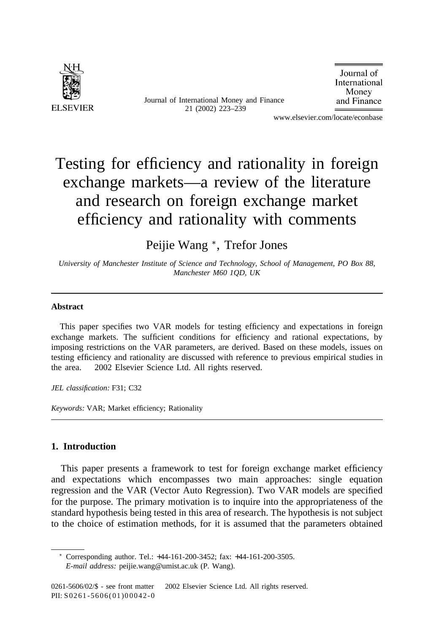

Journal of International Money and Finance 21 (2002) 223–239

Journal of International Money and Finance

www.elsevier.com/locate/econbase

# Testing for efficiency and rationality in foreign exchange markets—a review of the literature and research on foreign exchange market efficiency and rationality with comments

Peijie Wang <sup>∗</sup>, Trefor Jones

*University of Manchester Institute of Science and Technology, School of Management, PO Box 88, Manchester M60 1QD, UK*

### **Abstract**

This paper specifies two VAR models for testing efficiency and expectations in foreign exchange markets. The sufficient conditions for efficiency and rational expectations, by imposing restrictions on the VAR parameters, are derived. Based on these models, issues on testing efficiency and rationality are discussed with reference to previous empirical studies in the area.  $© 2002$  Elsevier Science Ltd. All rights reserved.

*JEL classification:* F31; C32

*Keywords:* VAR; Market efficiency; Rationality

## **1. Introduction**

This paper presents a framework to test for foreign exchange market efficiency and expectations which encompasses two main approaches: single equation regression and the VAR (Vector Auto Regression). Two VAR models are specified for the purpose. The primary motivation is to inquire into the appropriateness of the standard hypothesis being tested in this area of research. The hypothesis is not subject to the choice of estimation methods, for it is assumed that the parameters obtained

<sup>∗</sup> Corresponding author. Tel.: +44-161-200-3452; fax: +44-161-200-3505. *E-mail address:* peijie.wang@umist.ac.uk (P. Wang).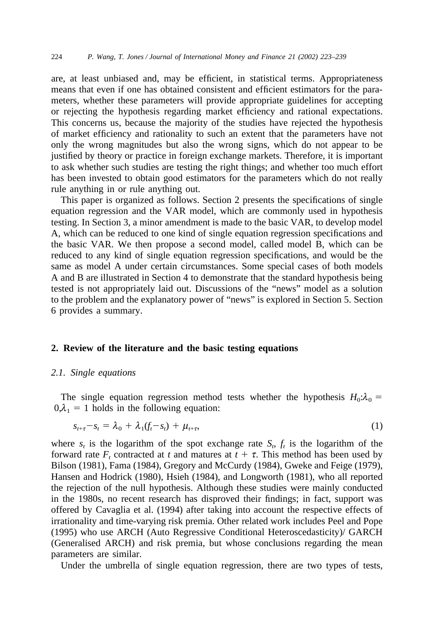are, at least unbiased and, may be efficient, in statistical terms. Appropriateness means that even if one has obtained consistent and efficient estimators for the parameters, whether these parameters will provide appropriate guidelines for accepting or rejecting the hypothesis regarding market efficiency and rational expectations. This concerns us, because the majority of the studies have rejected the hypothesis of market efficiency and rationality to such an extent that the parameters have not only the wrong magnitudes but also the wrong signs, which do not appear to be justified by theory or practice in foreign exchange markets. Therefore, it is important to ask whether such studies are testing the right things; and whether too much effort has been invested to obtain good estimators for the parameters which do not really rule anything in or rule anything out.

This paper is organized as follows. Section 2 presents the specifications of single equation regression and the VAR model, which are commonly used in hypothesis testing. In Section 3, a minor amendment is made to the basic VAR, to develop model A, which can be reduced to one kind of single equation regression specifications and the basic VAR. We then propose a second model, called model B, which can be reduced to any kind of single equation regression specifications, and would be the same as model A under certain circumstances. Some special cases of both models A and B are illustrated in Section 4 to demonstrate that the standard hypothesis being tested is not appropriately laid out. Discussions of the "news" model as a solution to the problem and the explanatory power of "news" is explored in Section 5. Section 6 provides a summary.

#### **2. Review of the literature and the basic testing equations**

#### *2.1. Single equations*

The single equation regression method tests whether the hypothesis  $H_0$ : $\lambda_0$  =  $0.\lambda_1 = 1$  holds in the following equation:

$$
s_{t+\tau} - s_t = \lambda_0 + \lambda_1(f_t - s_t) + \mu_{t+\tau}, \tag{1}
$$

where  $s_t$  is the logarithm of the spot exchange rate  $S_t$ ,  $f_t$  is the logarithm of the forward rate  $F_t$ , contracted at t and matures at  $t + \tau$ . This method has been used by Bilson (1981), Fama (1984), Gregory and McCurdy (1984), Gweke and Feige (1979), Hansen and Hodrick (1980), Hsieh (1984), and Longworth (1981), who all reported the rejection of the null hypothesis. Although these studies were mainly conducted in the 1980s, no recent research has disproved their findings; in fact, support was offered by Cavaglia et al. (1994) after taking into account the respective effects of irrationality and time-varying risk premia. Other related work includes Peel and Pope (1995) who use ARCH (Auto Regressive Conditional Heteroscedasticity)/ GARCH (Generalised ARCH) and risk premia, but whose conclusions regarding the mean parameters are similar.

Under the umbrella of single equation regression, there are two types of tests,